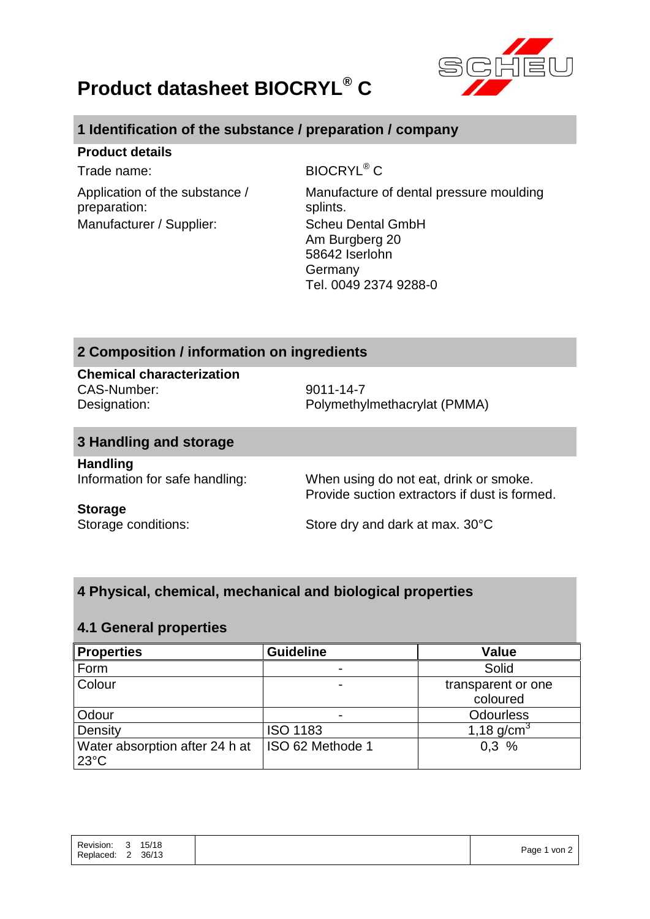



## **1 Identification of the substance / preparation / company**

### **Product details**

Application of the substance / preparation: Manufacturer / Supplier: Scheu Dental GmbH

Trade name: BIOCRYL<sup>®</sup> C

Manufacture of dental pressure moulding splints. Am Burgberg 20 58642 Iserlohn Germany Tel. 0049 2374 9288-0

## **2 Composition / information on ingredients**

# **Chemical characterization**

CAS-Number: 9011-14-7

Designation: Polymethylmethacrylat (PMMA)

# **3 Handling and storage**

**Handling**

Information for safe handling: When using do not eat, drink or smoke. Provide suction extractors if dust is formed.

### **Storage**

Storage conditions: Store dry and dark at max. 30°C

## **4 Physical, chemical, mechanical and biological properties**

### **4.1 General properties**

| <b>Properties</b>              | <b>Guideline</b> | Value              |
|--------------------------------|------------------|--------------------|
| Form                           |                  | Solid              |
| Colour                         |                  | transparent or one |
|                                |                  | coloured           |
| Odour                          | $\blacksquare$   | <b>Odourless</b>   |
| Density                        | <b>ISO 1183</b>  | 1,18 $q/cm^{3}$    |
| Water absorption after 24 h at | ISO 62 Methode 1 | 0.3%               |
| $23^{\circ}$ C                 |                  |                    |